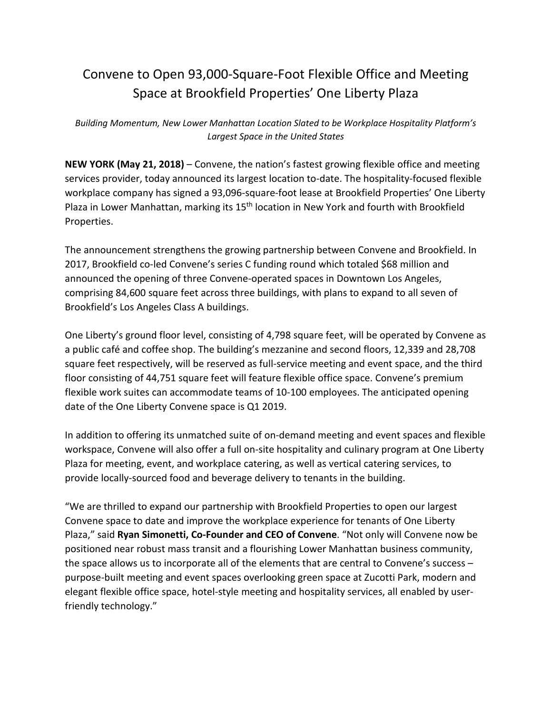## Convene to Open 93,000-Square-Foot Flexible Office and Meeting Space at Brookfield Properties' One Liberty Plaza

*Building Momentum, New Lower Manhattan Location Slated to be Workplace Hospitality Platform's Largest Space in the United States*

**NEW YORK (May 21, 2018)** – Convene, the nation's fastest growing flexible office and meeting services provider, today announced its largest location to-date. The hospitality-focused flexible workplace company has signed a 93,096-square-foot lease at Brookfield Properties' One Liberty Plaza in Lower Manhattan, marking its 15<sup>th</sup> location in New York and fourth with Brookfield Properties.

The announcement strengthens the growing partnership between Convene and Brookfield. In 2017, Brookfield co-led Convene's series C funding round which totaled \$68 million and announced the opening of three Convene-operated spaces in Downtown Los Angeles, comprising 84,600 square feet across three buildings, with plans to expand to all seven of Brookfield's Los Angeles Class A buildings.

One Liberty's ground floor level, consisting of 4,798 square feet, will be operated by Convene as a public café and coffee shop. The building's mezzanine and second floors, 12,339 and 28,708 square feet respectively, will be reserved as full-service meeting and event space, and the third floor consisting of 44,751 square feet will feature flexible office space. Convene's premium flexible work suites can accommodate teams of 10-100 employees. The anticipated opening date of the One Liberty Convene space is Q1 2019.

In addition to offering its unmatched suite of on-demand meeting and event spaces and flexible workspace, Convene will also offer a full on-site hospitality and culinary program at One Liberty Plaza for meeting, event, and workplace catering, as well as vertical catering services, to provide locally-sourced food and beverage delivery to tenants in the building.

"We are thrilled to expand our partnership with Brookfield Properties to open our largest Convene space to date and improve the workplace experience for tenants of One Liberty Plaza," said **Ryan Simonetti, Co-Founder and CEO of Convene**. "Not only will Convene now be positioned near robust mass transit and a flourishing Lower Manhattan business community, the space allows us to incorporate all of the elements that are central to Convene's success – purpose-built meeting and event spaces overlooking green space at Zucotti Park, modern and elegant flexible office space, hotel-style meeting and hospitality services, all enabled by userfriendly technology."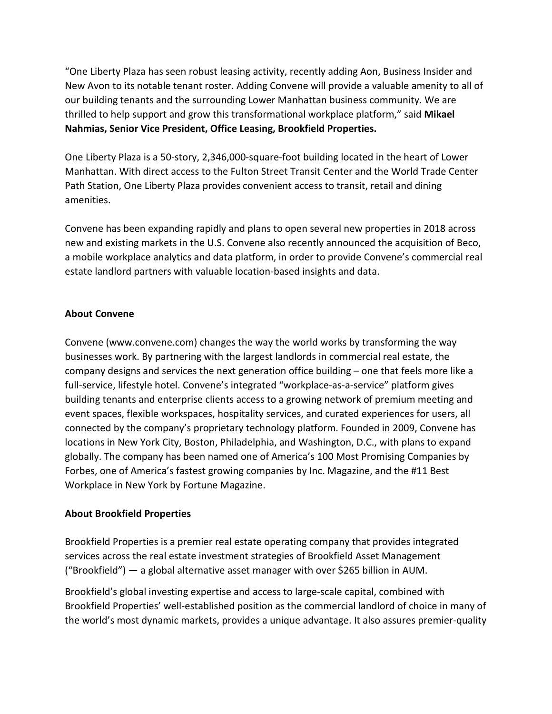"One Liberty Plaza has seen robust leasing activity, recently adding Aon, Business Insider and New Avon to its notable tenant roster. Adding Convene will provide a valuable amenity to all of our building tenants and the surrounding Lower Manhattan business community. We are thrilled to help support and grow this transformational workplace platform," said **Mikael Nahmias, Senior Vice President, Office Leasing, Brookfield Properties.**

One Liberty Plaza is a 50-story, 2,346,000-square-foot building located in the heart of Lower Manhattan. With direct access to the Fulton Street Transit Center and the World Trade Center Path Station, One Liberty Plaza provides convenient access to transit, retail and dining amenities.

Convene has been expanding rapidly and plans to open several new properties in 2018 across new and existing markets in the U.S. Convene also recently announced the acquisition of Beco, a mobile workplace analytics and data platform, in order to provide Convene's commercial real estate landlord partners with valuable location-based insights and data.

## **About Convene**

Convene (www.convene.com) changes the way the world works by transforming the way businesses work. By partnering with the largest landlords in commercial real estate, the company designs and services the next generation office building – one that feels more like a full-service, lifestyle hotel. Convene's integrated "workplace-as-a-service" platform gives building tenants and enterprise clients access to a growing network of premium meeting and event spaces, flexible workspaces, hospitality services, and curated experiences for users, all connected by the company's proprietary technology platform. Founded in 2009, Convene has locations in New York City, Boston, Philadelphia, and Washington, D.C., with plans to expand globally. The company has been named one of America's 100 Most Promising Companies by Forbes, one of America's fastest growing companies by Inc. Magazine, and the #11 Best Workplace in New York by Fortune Magazine.

## **About Brookfield Properties**

Brookfield Properties is a premier real estate operating company that provides integrated services across the real estate investment strategies of Brookfield Asset Management ("Brookfield") — a global alternative asset manager with over \$265 billion in AUM.

Brookfield's global investing expertise and access to large-scale capital, combined with Brookfield Properties' well-established position as the commercial landlord of choice in many of the world's most dynamic markets, provides a unique advantage. It also assures premier-quality